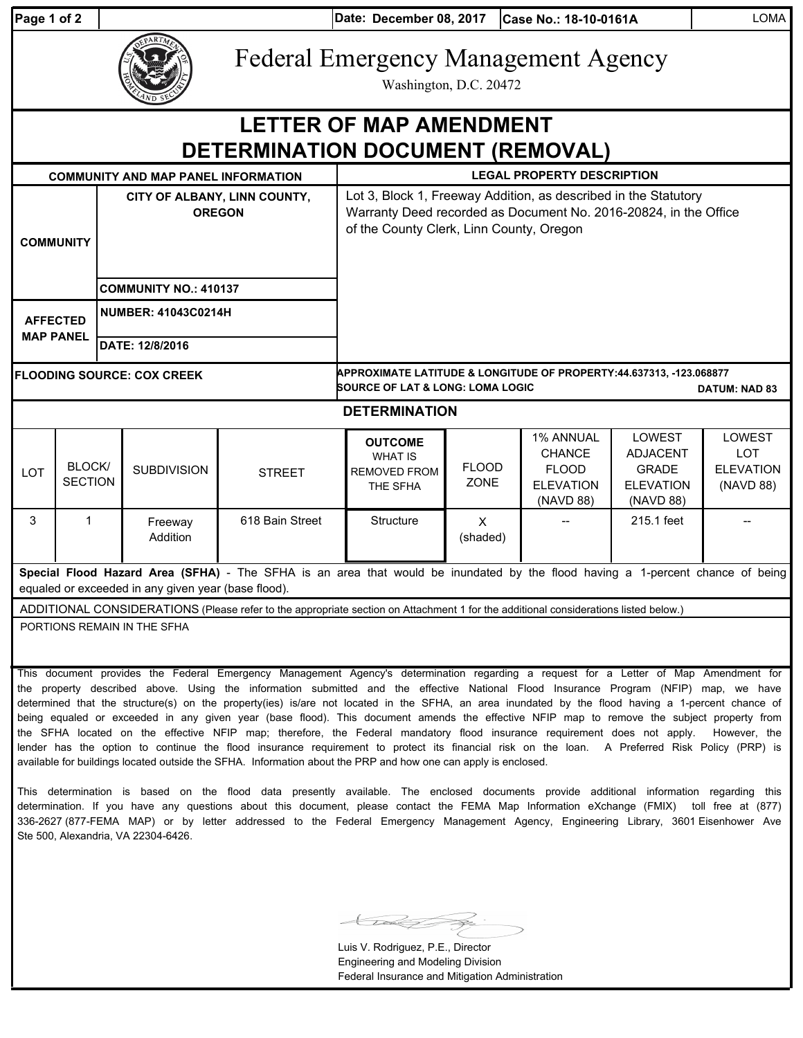**Date: Case No.: 18-10-0161A** LOMA **Page 1 of 2 December 08, 2017**

Federal Emergency Management Agency

Washington, D.C. 20472

## **COMMUNITY AND MAP PANEL INFORMATION LEGAL PROPERTY DESCRIPTION DETERMINATION DOCUMENT (REMOVAL) LETTER OF MAP AMENDMENT**

| OUNINUNI LAND MALLANLLINI UNMATION                                                                                                                                                   |                          |                                               |                              |                 |                                                                                                                                                                                 |                             |                                                                             |                                                                                   |                                                       |
|--------------------------------------------------------------------------------------------------------------------------------------------------------------------------------------|--------------------------|-----------------------------------------------|------------------------------|-----------------|---------------------------------------------------------------------------------------------------------------------------------------------------------------------------------|-----------------------------|-----------------------------------------------------------------------------|-----------------------------------------------------------------------------------|-------------------------------------------------------|
| <b>COMMUNITY</b>                                                                                                                                                                     |                          | CITY OF ALBANY, LINN COUNTY,<br><b>OREGON</b> |                              |                 | Lot 3, Block 1, Freeway Addition, as described in the Statutory<br>Warranty Deed recorded as Document No. 2016-20824, in the Office<br>of the County Clerk, Linn County, Oregon |                             |                                                                             |                                                                                   |                                                       |
|                                                                                                                                                                                      |                          |                                               | <b>COMMUNITY NO.: 410137</b> |                 |                                                                                                                                                                                 |                             |                                                                             |                                                                                   |                                                       |
| <b>AFFECTED</b><br><b>MAP PANEL</b>                                                                                                                                                  |                          |                                               | <b>NUMBER: 41043C0214H</b>   |                 |                                                                                                                                                                                 |                             |                                                                             |                                                                                   |                                                       |
|                                                                                                                                                                                      |                          |                                               | DATE: 12/8/2016              |                 |                                                                                                                                                                                 |                             |                                                                             |                                                                                   |                                                       |
| <b>FLOODING SOURCE: COX CREEK</b>                                                                                                                                                    |                          |                                               |                              |                 | APPROXIMATE LATITUDE & LONGITUDE OF PROPERTY:44.637313, -123.068877<br><b>SOURCE OF LAT &amp; LONG: LOMA LOGIC</b><br><b>DATUM: NAD 83</b>                                      |                             |                                                                             |                                                                                   |                                                       |
| <b>DETERMINATION</b>                                                                                                                                                                 |                          |                                               |                              |                 |                                                                                                                                                                                 |                             |                                                                             |                                                                                   |                                                       |
| <b>LOT</b>                                                                                                                                                                           | BLOCK/<br><b>SECTION</b> |                                               | <b>SUBDIVISION</b>           | <b>STREET</b>   | <b>OUTCOME</b><br><b>WHAT IS</b><br><b>REMOVED FROM</b><br>THE SFHA                                                                                                             | <b>FLOOD</b><br><b>ZONE</b> | 1% ANNUAL<br><b>CHANCE</b><br><b>FLOOD</b><br><b>ELEVATION</b><br>(NAVD 88) | <b>LOWEST</b><br><b>ADJACENT</b><br><b>GRADE</b><br><b>ELEVATION</b><br>(NAVD 88) | LOWEST<br><b>LOT</b><br><b>ELEVATION</b><br>(NAVD 88) |
| 3                                                                                                                                                                                    | 1                        |                                               | Freeway<br>Addition          | 618 Bain Street | Structure                                                                                                                                                                       | $\mathsf{x}$<br>(shaded)    |                                                                             | 215.1 feet                                                                        |                                                       |
| Special Flood Hazard Area (SFHA) - The SFHA is an area that would be inundated by the flood having a 1-percent chance of being<br>caughed ar aveneded in any given your (boon flood) |                          |                                               |                              |                 |                                                                                                                                                                                 |                             |                                                                             |                                                                                   |                                                       |

equaled or exceeded in any given year (base flood).

ADDITIONAL CONSIDERATIONS (Please refer to the appropriate section on Attachment 1 for the additional considerations listed below.)

PORTIONS REMAIN IN THE SFHA

This document provides the Federal Emergency Management Agency's determination regarding a request for a Letter of Map Amendment for the property described above. Using the information submitted and the effective National Flood Insurance Program (NFIP) map, we have determined that the structure(s) on the property(ies) is/are not located in the SFHA, an area inundated by the flood having a 1-percent chance of being equaled or exceeded in any given year (base flood). This document amends the effective NFIP map to remove the subject property from the SFHA located on the effective NFIP map; therefore, the Federal mandatory flood insurance requirement does not apply. However, the lender has the option to continue the flood insurance requirement to protect its financial risk on the loan. A Preferred Risk Policy (PRP) is available for buildings located outside the SFHA. Information about the PRP and how one can apply is enclosed.

This determination is based on the flood data presently available. The enclosed documents provide additional information regarding this determination. If you have any questions about this document, please contact the FEMA Map Information eXchange (FMIX) toll free at (877) 336-2627 (877-FEMA MAP) or by letter addressed to the Federal Emergency Management Agency, Engineering Library, 3601 Eisenhower Ave Ste 500, Alexandria, VA 22304-6426.

Luis V. Rodriguez, P.E., Director Engineering and Modeling Division Federal Insurance and Mitigation Administration